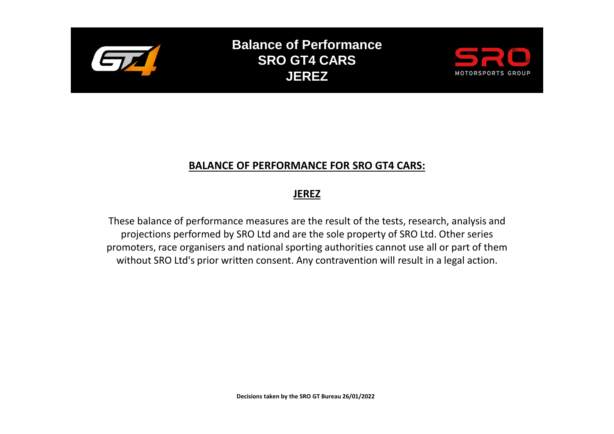

**Balance of Performance SRO GT4 CARS JEREZ**



## **BALANCE OF PERFORMANCE FOR SRO GT4 CARS:**

## **JEREZ**

These balance of performance measures are the result of the tests, research, analysis and projections performed by SRO Ltd and are the sole property of SRO Ltd. Other series promoters, race organisers and national sporting authorities cannot use all or part of them without SRO Ltd's prior written consent. Any contravention will result in a legal action.